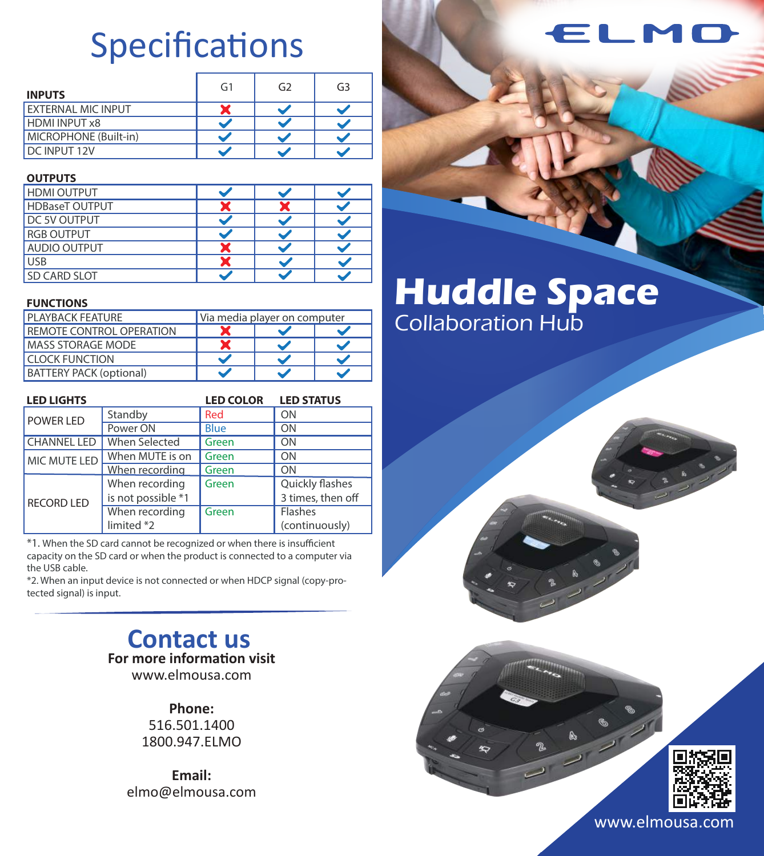# Specifications

| <b>INPUTS</b>             | G <sub>1</sub> | G <sub>2</sub> | G <sub>3</sub> |
|---------------------------|----------------|----------------|----------------|
| <b>EXTERNAL MIC INPUT</b> |                |                |                |
| <b>HDMI INPUT x8</b>      |                |                |                |
| MICROPHONE (Built-in)     |                |                |                |
| DC INPUT 12V              |                |                |                |

### **OUTPUTS**

| <b>HDMI OUTPUT</b>    |  |  |
|-----------------------|--|--|
| <b>HDBaseT OUTPUT</b> |  |  |
| DC 5V OUTPUT          |  |  |
| <b>RGB OUTPUT</b>     |  |  |
| <b>AUDIO OUTPUT</b>   |  |  |
| <b>JSB</b>            |  |  |
| SD CARD SLOT          |  |  |

### **FUNCTIONS**

|  | <b>PI AYBACK FFATURF</b>        | Via media player on computer |  |  |
|--|---------------------------------|------------------------------|--|--|
|  | <b>REMOTE CONTROL OPERATION</b> |                              |  |  |
|  | <b>MASS STORAGE MODE</b>        |                              |  |  |
|  | <b>CLOCK FUNCTION</b>           |                              |  |  |
|  | <b>BATTERY PACK (optional)</b>  |                              |  |  |

| <b>LED LIGHTS</b>  |                    | <b>LED COLOR</b> | <b>LED STATUS</b> |
|--------------------|--------------------|------------------|-------------------|
| POWER LED          | Standby            | Red              | ON                |
|                    | Power ON           | <b>Blue</b>      | ON                |
| <b>CHANNEL LED</b> | When Selected      | Green            | ON                |
| MIC MUTE LED       | When MUTE is on    | Green            | ON                |
|                    | When recording     | Green            | ON                |
|                    | When recording     | Green            | Quickly flashes   |
| <b>RECORD LED</b>  | is not possible *1 |                  | 3 times, then off |
|                    | When recording     | Green            | Flashes           |
|                    | limited *2         |                  | (continuously)    |

\*1. When the SD card cannot be recognized or when there is insufficient capacity on the SD card or when the product is connected to a computer via the USB cable.

\*2. When an input device is not connected or when HDCP signal (copy-protected signal) is input.

> **Contact us For more information visit** www.elmousa.com

> > **Phone:**

516.501.1400 1800.947.ELMO

**Email:** elmo@elmousa.com

# **Huddle Space** Collaboration Hub





www.elmousa.com